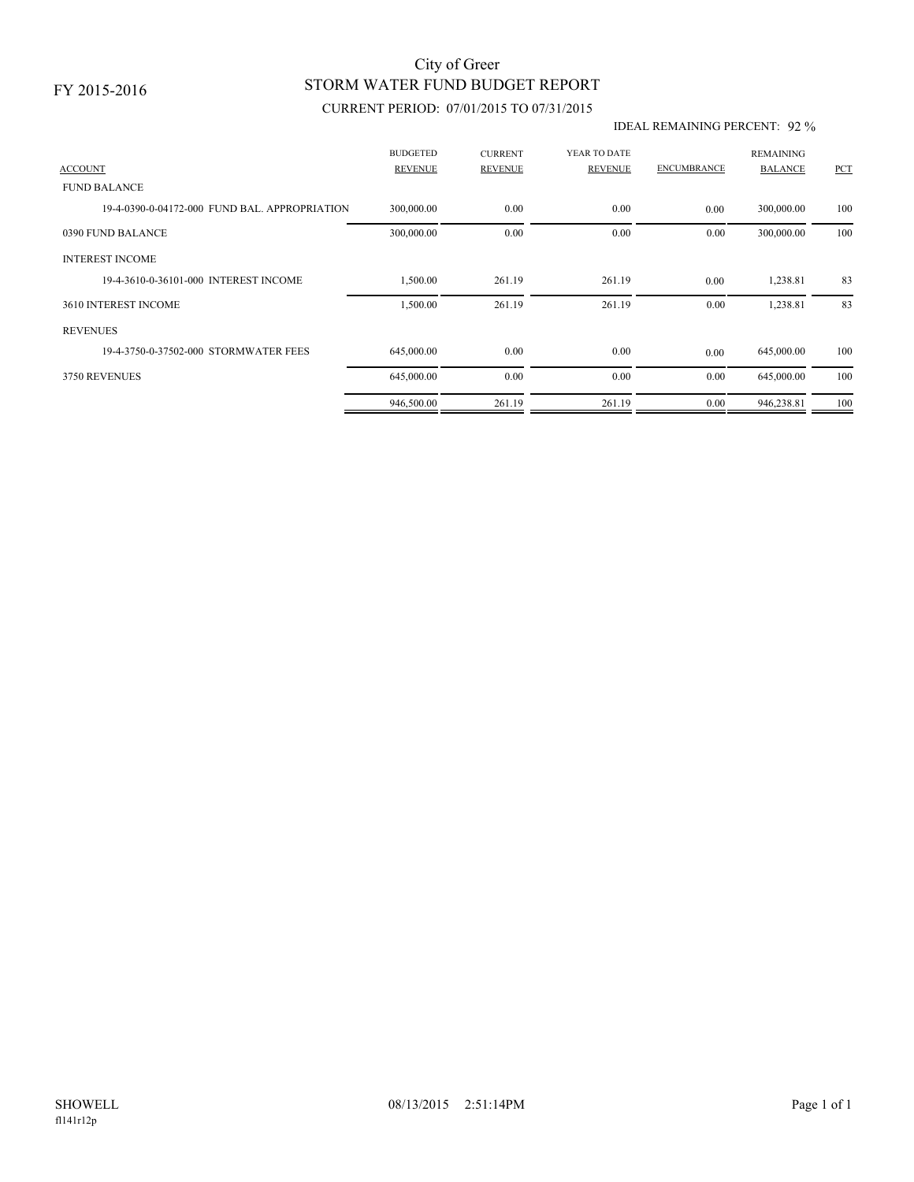## STORM WATER FUND BUDGET REPORT City of Greer

### CURRENT PERIOD: 07/01/2015 TO 07/31/2015

#### IDEAL REMAINING PERCENT: 92 %

|                                               | <b>BUDGETED</b> | <b>CURRENT</b> | YEAR TO DATE   |                    | <b>REMAINING</b> |     |
|-----------------------------------------------|-----------------|----------------|----------------|--------------------|------------------|-----|
| <b>ACCOUNT</b>                                | <b>REVENUE</b>  | <b>REVENUE</b> | <b>REVENUE</b> | <b>ENCUMBRANCE</b> | <b>BALANCE</b>   | PCT |
| <b>FUND BALANCE</b>                           |                 |                |                |                    |                  |     |
| 19-4-0390-0-04172-000 FUND BAL, APPROPRIATION | 300,000.00      | 0.00           | 0.00           | 0.00               | 300,000.00       | 100 |
| 0390 FUND BALANCE                             | 300,000.00      | 0.00           | 0.00           | 0.00               | 300,000.00       | 100 |
| <b>INTEREST INCOME</b>                        |                 |                |                |                    |                  |     |
| 19-4-3610-0-36101-000 INTEREST INCOME         | 1,500.00        | 261.19         | 261.19         | 0.00               | 1,238.81         | 83  |
| 3610 INTEREST INCOME                          | 1,500.00        | 261.19         | 261.19         | 0.00               | 1,238.81         | 83  |
| <b>REVENUES</b>                               |                 |                |                |                    |                  |     |
| 19-4-3750-0-37502-000 STORMWATER FEES         | 645,000.00      | 0.00           | 0.00           | 0.00               | 645,000.00       | 100 |
| 3750 REVENUES                                 | 645,000.00      | 0.00           | 0.00           | 0.00               | 645,000.00       | 100 |
|                                               | 946,500.00      | 261.19         | 261.19         | 0.00               | 946,238.81       | 100 |